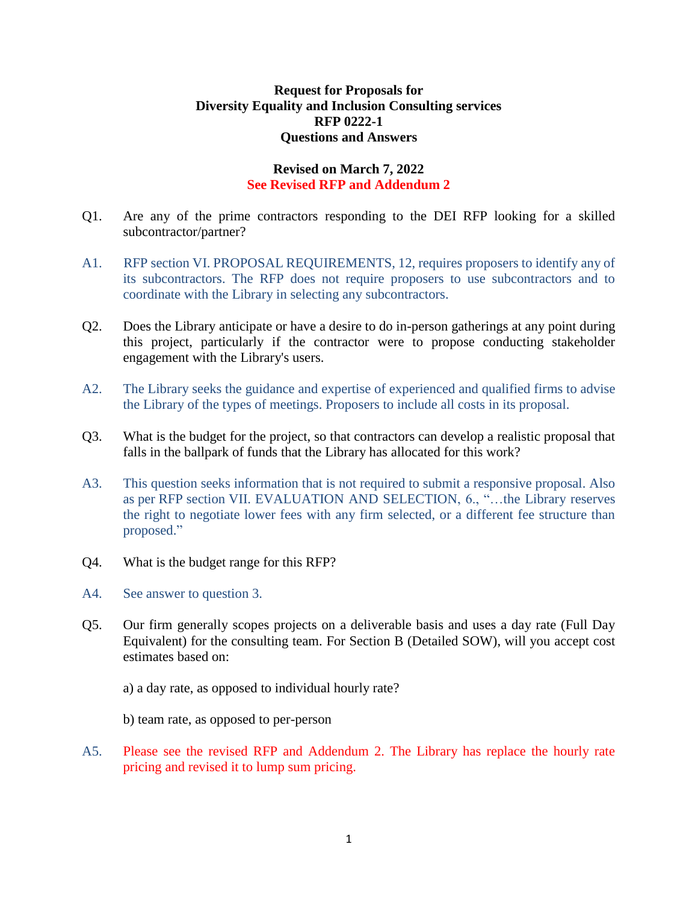## **Request for Proposals for Diversity Equality and Inclusion Consulting services RFP 0222-1 Questions and Answers**

## **Revised on March 7, 2022 See Revised RFP and Addendum 2**

- Q1. Are any of the prime contractors responding to the DEI RFP looking for a skilled subcontractor/partner?
- A1. RFP section VI. PROPOSAL REQUIREMENTS, 12, requires proposers to identify any of its subcontractors. The RFP does not require proposers to use subcontractors and to coordinate with the Library in selecting any subcontractors.
- Q2. Does the Library anticipate or have a desire to do in-person gatherings at any point during this project, particularly if the contractor were to propose conducting stakeholder engagement with the Library's users.
- A2. The Library seeks the guidance and expertise of experienced and qualified firms to advise the Library of the types of meetings. Proposers to include all costs in its proposal.
- Q3. What is the budget for the project, so that contractors can develop a realistic proposal that falls in the ballpark of funds that the Library has allocated for this work?
- A3. This question seeks information that is not required to submit a responsive proposal. Also as per RFP section VII. EVALUATION AND SELECTION, 6., "…the Library reserves the right to negotiate lower fees with any firm selected, or a different fee structure than proposed."
- Q4. What is the budget range for this RFP?
- A4. See answer to question 3.
- Q5. Our firm generally scopes projects on a deliverable basis and uses a day rate (Full Day Equivalent) for the consulting team. For Section B (Detailed SOW), will you accept cost estimates based on:
	- a) a day rate, as opposed to individual hourly rate?
	- b) team rate, as opposed to per-person
- A5. Please see the revised RFP and Addendum 2. The Library has replace the hourly rate pricing and revised it to lump sum pricing.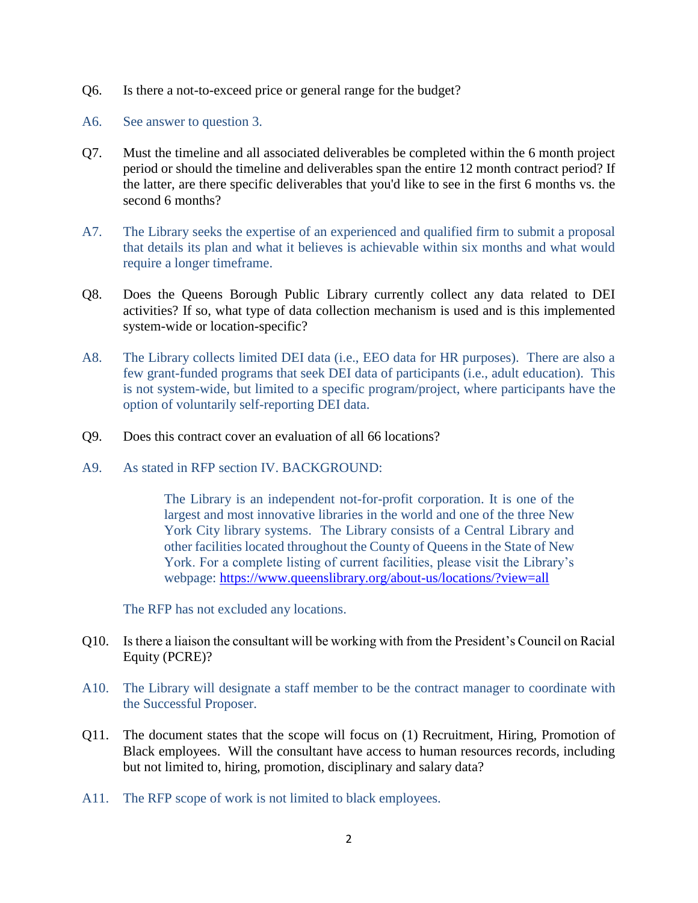- Q6. Is there a not-to-exceed price or general range for the budget?
- A6. See answer to question 3.
- Q7. Must the timeline and all associated deliverables be completed within the 6 month project period or should the timeline and deliverables span the entire 12 month contract period? If the latter, are there specific deliverables that you'd like to see in the first 6 months vs. the second 6 months?
- A7. The Library seeks the expertise of an experienced and qualified firm to submit a proposal that details its plan and what it believes is achievable within six months and what would require a longer timeframe.
- Q8. Does the Queens Borough Public Library currently collect any data related to DEI activities? If so, what type of data collection mechanism is used and is this implemented system-wide or location-specific?
- A8. The Library collects limited DEI data (i.e., EEO data for HR purposes). There are also a few grant-funded programs that seek DEI data of participants (i.e., adult education). This is not system-wide, but limited to a specific program/project, where participants have the option of voluntarily self-reporting DEI data.
- Q9. Does this contract cover an evaluation of all 66 locations?
- A9. As stated in RFP section IV. BACKGROUND:

The Library is an independent not-for-profit corporation. It is one of the largest and most innovative libraries in the world and one of the three New York City library systems. The Library consists of a Central Library and other facilities located throughout the County of Queens in the State of New York. For a complete listing of current facilities, please visit the Library's webpage:<https://www.queenslibrary.org/about-us/locations/?view=all>

The RFP has not excluded any locations.

- Q10. Is there a liaison the consultant will be working with from the President's Council on Racial Equity (PCRE)?
- A10. The Library will designate a staff member to be the contract manager to coordinate with the Successful Proposer.
- Q11. The document states that the scope will focus on (1) Recruitment, Hiring, Promotion of Black employees. Will the consultant have access to human resources records, including but not limited to, hiring, promotion, disciplinary and salary data?
- A11. The RFP scope of work is not limited to black employees.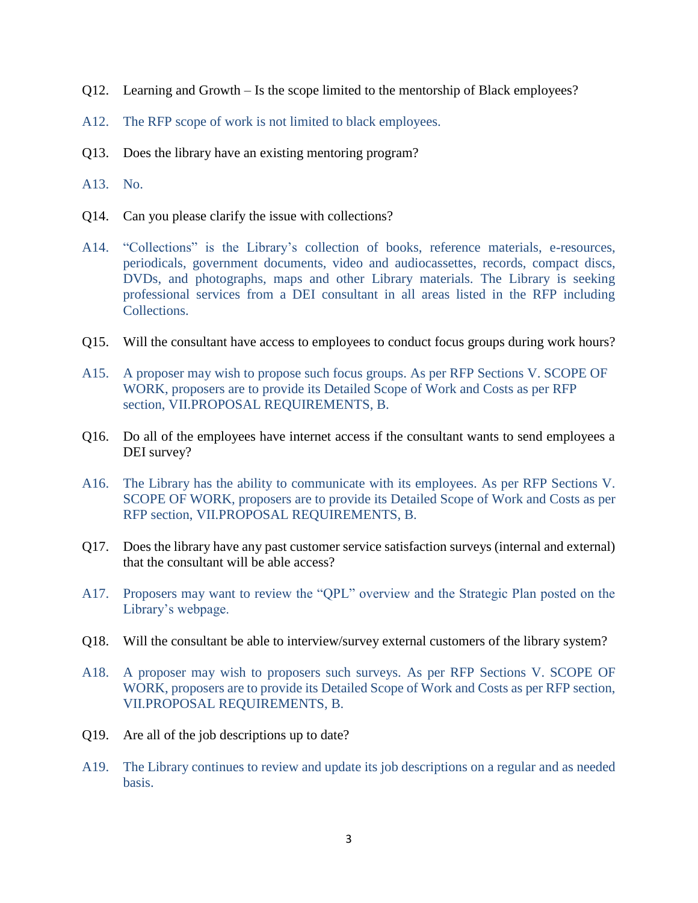- Q12. Learning and Growth Is the scope limited to the mentorship of Black employees?
- A12. The RFP scope of work is not limited to black employees.
- Q13. Does the library have an existing mentoring program?
- A13. No.
- Q14. Can you please clarify the issue with collections?
- A14. "Collections" is the Library's collection of books, reference materials, e-resources, periodicals, government documents, video and audiocassettes, records, compact discs, DVDs, and photographs, maps and other Library materials. The Library is seeking professional services from a DEI consultant in all areas listed in the RFP including Collections.
- Q15. Will the consultant have access to employees to conduct focus groups during work hours?
- A15. A proposer may wish to propose such focus groups. As per RFP Sections V. SCOPE OF WORK, proposers are to provide its Detailed Scope of Work and Costs as per RFP section, VII.PROPOSAL REQUIREMENTS, B.
- Q16. Do all of the employees have internet access if the consultant wants to send employees a DEI survey?
- A16. The Library has the ability to communicate with its employees. As per RFP Sections V. SCOPE OF WORK, proposers are to provide its Detailed Scope of Work and Costs as per RFP section, VII.PROPOSAL REQUIREMENTS, B.
- Q17. Does the library have any past customer service satisfaction surveys (internal and external) that the consultant will be able access?
- A17. Proposers may want to review the "QPL" overview and the Strategic Plan posted on the Library's webpage.
- Q18. Will the consultant be able to interview/survey external customers of the library system?
- A18. A proposer may wish to proposers such surveys. As per RFP Sections V. SCOPE OF WORK, proposers are to provide its Detailed Scope of Work and Costs as per RFP section, VII.PROPOSAL REQUIREMENTS, B.
- Q19. Are all of the job descriptions up to date?
- A19. The Library continues to review and update its job descriptions on a regular and as needed basis.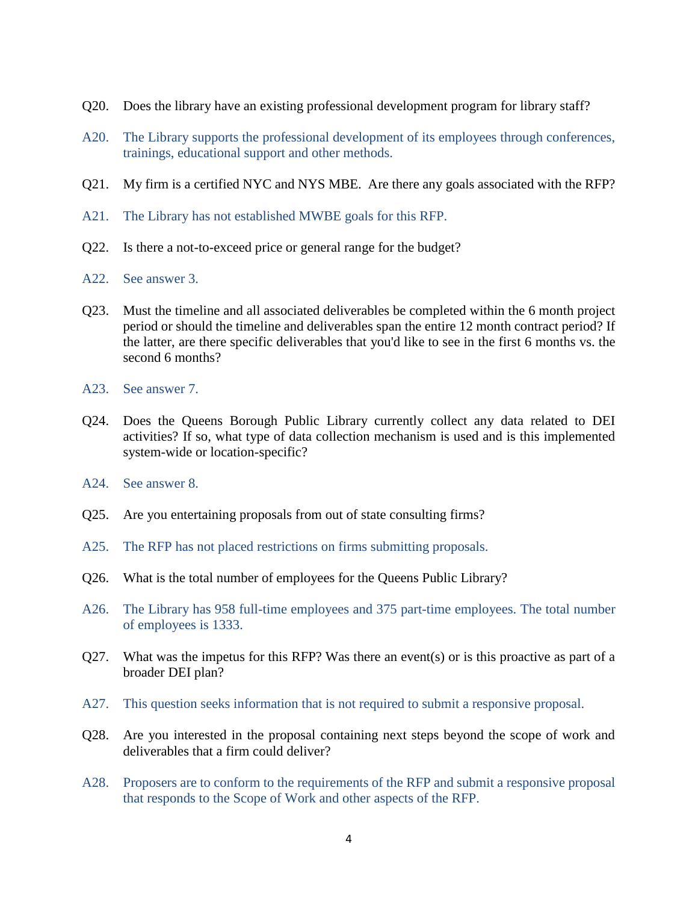- Q20. Does the library have an existing professional development program for library staff?
- A20. The Library supports the professional development of its employees through conferences, trainings, educational support and other methods.
- Q21. My firm is a certified NYC and NYS MBE. Are there any goals associated with the RFP?
- A21. The Library has not established MWBE goals for this RFP.
- Q22. Is there a not-to-exceed price or general range for the budget?
- A22. See answer 3.
- Q23. Must the timeline and all associated deliverables be completed within the 6 month project period or should the timeline and deliverables span the entire 12 month contract period? If the latter, are there specific deliverables that you'd like to see in the first 6 months vs. the second 6 months?
- A23. See answer 7.
- Q24. Does the Queens Borough Public Library currently collect any data related to DEI activities? If so, what type of data collection mechanism is used and is this implemented system-wide or location-specific?
- A24. See answer 8.
- Q25. Are you entertaining proposals from out of state consulting firms?
- A25. The RFP has not placed restrictions on firms submitting proposals.
- Q26. What is the total number of employees for the Queens Public Library?
- A26. The Library has 958 full-time employees and 375 part-time employees. The total number of employees is 1333.
- Q27. What was the impetus for this RFP? Was there an event(s) or is this proactive as part of a broader DEI plan?
- A27. This question seeks information that is not required to submit a responsive proposal.
- Q28. Are you interested in the proposal containing next steps beyond the scope of work and deliverables that a firm could deliver?
- A28. Proposers are to conform to the requirements of the RFP and submit a responsive proposal that responds to the Scope of Work and other aspects of the RFP.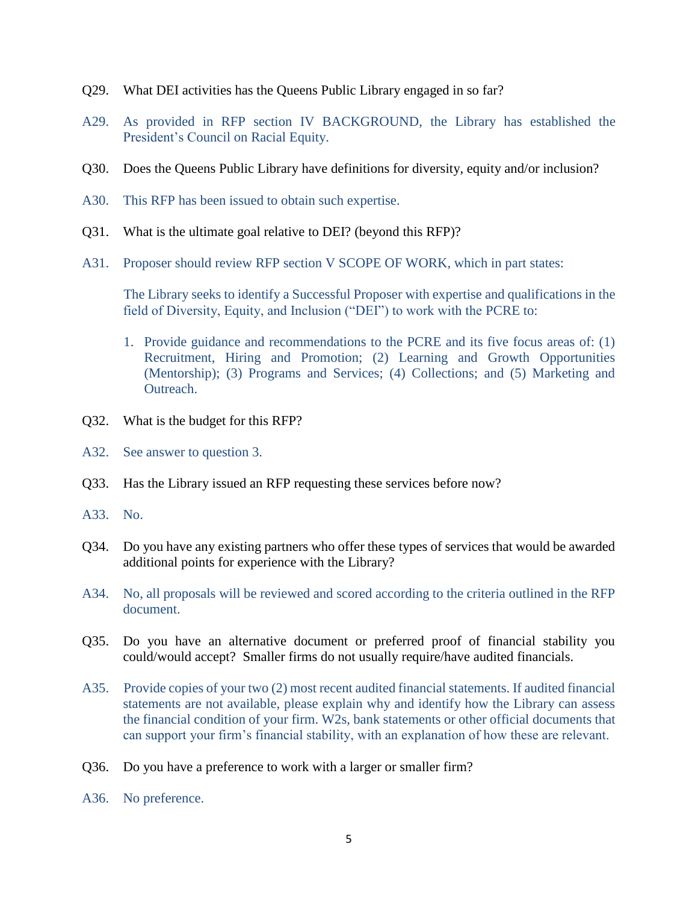- Q29. What DEI activities has the Queens Public Library engaged in so far?
- A29. As provided in RFP section IV BACKGROUND, the Library has established the President's Council on Racial Equity.
- Q30. Does the Queens Public Library have definitions for diversity, equity and/or inclusion?
- A30. This RFP has been issued to obtain such expertise.
- Q31. What is the ultimate goal relative to DEI? (beyond this RFP)?
- A31. Proposer should review RFP section V SCOPE OF WORK, which in part states:

The Library seeks to identify a Successful Proposer with expertise and qualifications in the field of Diversity, Equity, and Inclusion ("DEI") to work with the PCRE to:

- 1. Provide guidance and recommendations to the PCRE and its five focus areas of: (1) Recruitment, Hiring and Promotion; (2) Learning and Growth Opportunities (Mentorship); (3) Programs and Services; (4) Collections; and (5) Marketing and Outreach.
- Q32. What is the budget for this RFP?
- A32. See answer to question 3.
- Q33. Has the Library issued an RFP requesting these services before now?
- A33. No.
- Q34. Do you have any existing partners who offer these types of services that would be awarded additional points for experience with the Library?
- A34. No, all proposals will be reviewed and scored according to the criteria outlined in the RFP document.
- Q35. Do you have an alternative document or preferred proof of financial stability you could/would accept? Smaller firms do not usually require/have audited financials.
- A35. Provide copies of your two (2) most recent audited financial statements. If audited financial statements are not available, please explain why and identify how the Library can assess the financial condition of your firm. W2s, bank statements or other official documents that can support your firm's financial stability, with an explanation of how these are relevant.
- Q36. Do you have a preference to work with a larger or smaller firm?
- A36. No preference.